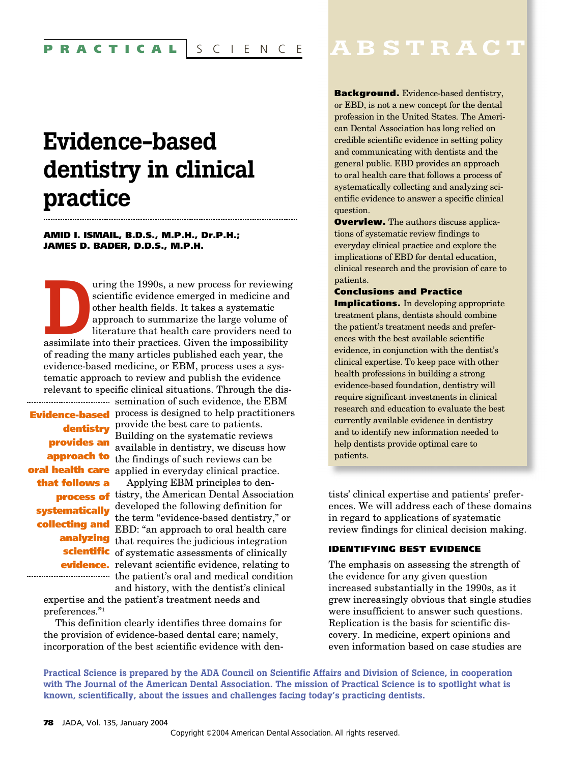# **Evidence-based dentistry in clinical practice**

### **AMID I. ISMAIL, B.D.S., M.P.H., Dr.P.H.; JAMES D. BADER, D.D.S., M.P.H.**

Figure 1990s, a new process for reviewing<br>
scientific evidence emerged in medicine and<br>
other health fields. It takes a systematic<br>
approach to summarize the large volume of<br>
literature that health care providers need to<br> scientific evidence emerged in medicine and other health fields. It takes a systematic approach to summarize the large volume of literature that health care providers need to of reading the many articles published each year, the evidence-based medicine, or EBM, process uses a systematic approach to review and publish the evidence relevant to specific clinical situations. Through the dis-

**provides an that follows a collecting and**

semination of such evidence, the EBM **Evidence-based** process is designed to help practitioners provide the best care to patients. **dentistry**  Building on the systematic reviews available in dentistry, we discuss how **approach to** the findings of such reviews can be **oral health care** applied in everyday clinical practice.

Applying EBM principles to den**process of** tistry, the American Dental Association **systematically** developed the following definition for the term "evidence-based dentistry," or EBD: "an approach to oral health care **analyzing** that requires the judicious integration **scientific** of systematic assessments of clinically **evidence.** relevant scientific evidence, relating to the patient's oral and medical condition

and history, with the dentist's clinical expertise and the patient's treatment needs and preferences."1

This definition clearly identifies three domains for the provision of evidence-based dental care; namely, incorporation of the best scientific evidence with den-

# **ABSTRACT**

**Background.** Evidence-based dentistry, or EBD, is not a new concept for the dental profession in the United States. The American Dental Association has long relied on credible scientific evidence in setting policy and communicating with dentists and the general public. EBD provides an approach to oral health care that follows a process of systematically collecting and analyzing scientific evidence to answer a specific clinical question.

**Overview.** The authors discuss applications of systematic review findings to everyday clinical practice and explore the implications of EBD for dental education, clinical research and the provision of care to patients.

#### **Conclusions and Practice**

**Implications.** In developing appropriate treatment plans, dentists should combine the patient's treatment needs and preferences with the best available scientific evidence, in conjunction with the dentist's clinical expertise. To keep pace with other health professions in building a strong evidence-based foundation, dentistry will require significant investments in clinical research and education to evaluate the best currently available evidence in dentistry and to identify new information needed to help dentists provide optimal care to patients.

tists' clinical expertise and patients' preferences. We will address each of these domains in regard to applications of systematic review findings for clinical decision making.

#### **IDENTIFYING BEST EVIDENCE**

The emphasis on assessing the strength of the evidence for any given question increased substantially in the 1990s, as it grew increasingly obvious that single studies were insufficient to answer such questions. Replication is the basis for scientific discovery. In medicine, expert opinions and even information based on case studies are

**Practical Science is prepared by the ADA Council on Scientific Affairs and Division of Science, in cooperation with The Journal of the American Dental Association. The mission of Practical Science is to spotlight what is known, scientifically, about the issues and challenges facing today's practicing dentists.**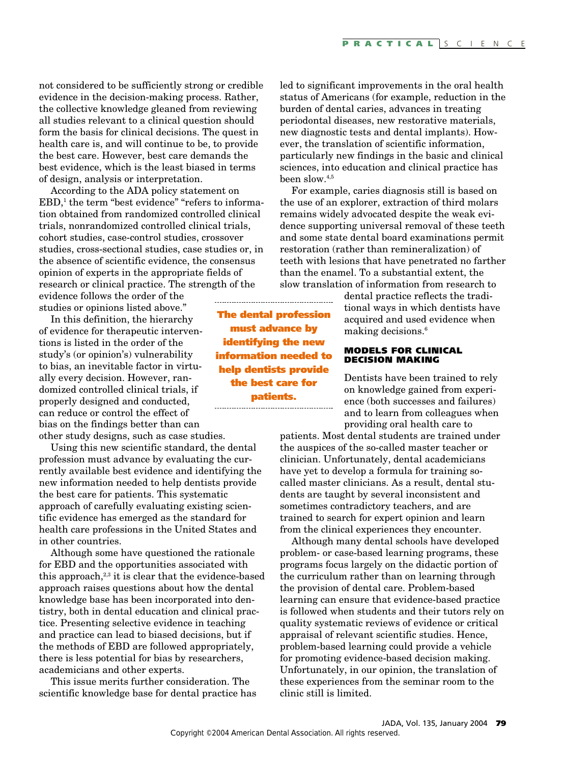not considered to be sufficiently strong or credible evidence in the decision-making process. Rather, the collective knowledge gleaned from reviewing all studies relevant to a clinical question should form the basis for clinical decisions. The quest in health care is, and will continue to be, to provide the best care. However, best care demands the best evidence, which is the least biased in terms of design, analysis or interpretation.

According to the ADA policy statement on  $EBD$ ,<sup>1</sup> the term "best evidence" "refers to information obtained from randomized controlled clinical trials, nonrandomized controlled clinical trials, cohort studies, case-control studies, crossover studies, cross-sectional studies, case studies or, in the absence of scientific evidence, the consensus opinion of experts in the appropriate fields of research or clinical practice. The strength of the

evidence follows the order of the studies or opinions listed above."

In this definition, the hierarchy of evidence for therapeutic interventions is listed in the order of the study's (or opinion's) vulnerability to bias, an inevitable factor in virtually every decision. However, randomized controlled clinical trials, if properly designed and conducted, can reduce or control the effect of bias on the findings better than can other study designs, such as case studies.

Using this new scientific standard, the dental profession must advance by evaluating the currently available best evidence and identifying the new information needed to help dentists provide the best care for patients. This systematic approach of carefully evaluating existing scientific evidence has emerged as the standard for health care professions in the United States and in other countries.

Although some have questioned the rationale for EBD and the opportunities associated with this approach, $2,3$  it is clear that the evidence-based approach raises questions about how the dental knowledge base has been incorporated into dentistry, both in dental education and clinical practice. Presenting selective evidence in teaching and practice can lead to biased decisions, but if the methods of EBD are followed appropriately, there is less potential for bias by researchers, academicians and other experts.

This issue merits further consideration. The scientific knowledge base for dental practice has led to significant improvements in the oral health status of Americans (for example, reduction in the burden of dental caries, advances in treating periodontal diseases, new restorative materials, new diagnostic tests and dental implants). However, the translation of scientific information, particularly new findings in the basic and clinical sciences, into education and clinical practice has been slow.4,5

For example, caries diagnosis still is based on the use of an explorer, extraction of third molars remains widely advocated despite the weak evidence supporting universal removal of these teeth and some state dental board examinations permit restoration (rather than remineralization) of teeth with lesions that have penetrated no farther than the enamel. To a substantial extent, the slow translation of information from research to

> dental practice reflects the traditional ways in which dentists have acquired and used evidence when making decisions.<sup>6</sup>

#### **MODELS FOR CLINICAL DECISION MAKING**

Dentists have been trained to rely on knowledge gained from experience (both successes and failures) and to learn from colleagues when providing oral health care to

patients. Most dental students are trained under the auspices of the so-called master teacher or clinician. Unfortunately, dental academicians have yet to develop a formula for training socalled master clinicians. As a result, dental students are taught by several inconsistent and sometimes contradictory teachers, and are trained to search for expert opinion and learn from the clinical experiences they encounter.

Although many dental schools have developed problem- or case-based learning programs, these programs focus largely on the didactic portion of the curriculum rather than on learning through the provision of dental care. Problem-based learning can ensure that evidence-based practice is followed when students and their tutors rely on quality systematic reviews of evidence or critical appraisal of relevant scientific studies. Hence, problem-based learning could provide a vehicle for promoting evidence-based decision making. Unfortunately, in our opinion, the translation of these experiences from the seminar room to the clinic still is limited.

**The dental profession must advance by identifying the new information needed to help dentists provide the best care for patients.**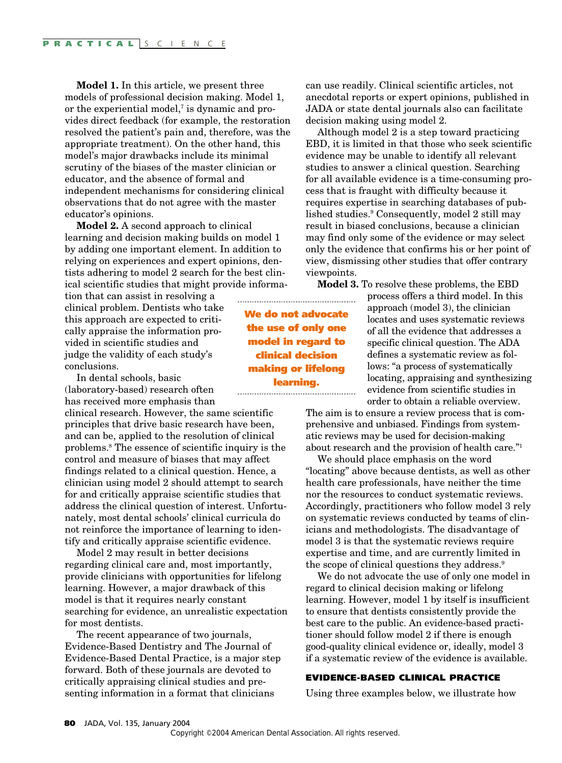**Model 1.** In this article, we present three models of professional decision making. Model 1, or the experiential model, $\bar{a}$  is dynamic and provides direct feedback (for example, the restoration resolved the patient's pain and, therefore, was the appropriate treatment). On the other hand, this model's major drawbacks include its minimal scrutiny of the biases of the master clinician or educator, and the absence of formal and independent mechanisms for considering clinical observations that do not agree with the master educator's opinions.

**Model 2.** A second approach to clinical learning and decision making builds on model 1 by adding one important element. In addition to relying on experiences and expert opinions, dentists adhering to model 2 search for the best clinical scientific studies that might provide informa-

tion that can assist in resolving a clinical problem. Dentists who take this approach are expected to critically appraise the information provided in scientific studies and judge the validity of each study's conclusions.

In dental schools, basic (laboratory-based) research often has received more emphasis than

clinical research. However, the same scientific principles that drive basic research have been, and can be, applied to the resolution of clinical problems.8 The essence of scientific inquiry is the control and measure of biases that may affect findings related to a clinical question. Hence, a clinician using model 2 should attempt to search for and critically appraise scientific studies that address the clinical question of interest. Unfortunately, most dental schools' clinical curricula do not reinforce the importance of learning to identify and critically appraise scientific evidence.

Model 2 may result in better decisions regarding clinical care and, most importantly, provide clinicians with opportunities for lifelong learning. However, a major drawback of this model is that it requires nearly constant searching for evidence, an unrealistic expectation for most dentists.

The recent appearance of two journals, Evidence-Based Dentistry and The Journal of Evidence-Based Dental Practice, is a major step forward. Both of these journals are devoted to critically appraising clinical studies and presenting information in a format that clinicians

can use readily. Clinical scientific articles, not anecdotal reports or expert opinions, published in JADA or state dental journals also can facilitate decision making using model 2.

Although model 2 is a step toward practicing EBD, it is limited in that those who seek scientific evidence may be unable to identify all relevant studies to answer a clinical question. Searching for all available evidence is a time-consuming process that is fraught with difficulty because it requires expertise in searching databases of published studies.<sup>9</sup> Consequently, model 2 still may result in biased conclusions, because a clinician may find only some of the evidence or may select only the evidence that confirms his or her point of view, dismissing other studies that offer contrary viewpoints.

**Model 3.** To resolve these problems, the EBD

**We do not advocate the use of only one model in regard to clinical decision making or lifelong learning.** 

process offers a third model. In this approach (model 3), the clinician locates and uses systematic reviews of all the evidence that addresses a specific clinical question. The ADA defines a systematic review as follows: "a process of systematically locating, appraising and synthesizing evidence from scientific studies in order to obtain a reliable overview.

The aim is to ensure a review process that is comprehensive and unbiased. Findings from systematic reviews may be used for decision-making about research and the provision of health care."1

We should place emphasis on the word "locating" above because dentists, as well as other health care professionals, have neither the time nor the resources to conduct systematic reviews. Accordingly, practitioners who follow model 3 rely on systematic reviews conducted by teams of clinicians and methodologists. The disadvantage of model 3 is that the systematic reviews require expertise and time, and are currently limited in the scope of clinical questions they address.<sup>9</sup>

We do not advocate the use of only one model in regard to clinical decision making or lifelong learning. However, model 1 by itself is insufficient to ensure that dentists consistently provide the best care to the public. An evidence-based practitioner should follow model 2 if there is enough good-quality clinical evidence or, ideally, model 3 if a systematic review of the evidence is available.

#### **EVIDENCE-BASED CLINICAL PRACTICE**

Using three examples below, we illustrate how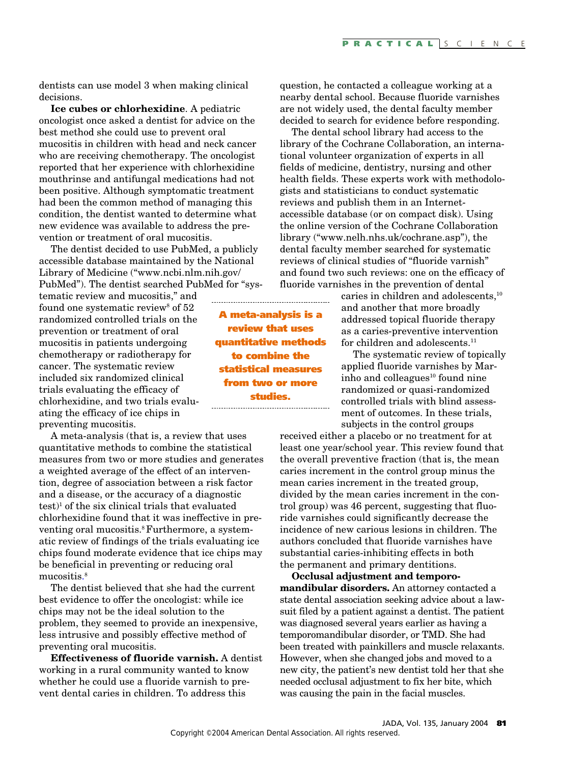dentists can use model 3 when making clinical decisions.

**Ice cubes or chlorhexidine**. A pediatric oncologist once asked a dentist for advice on the best method she could use to prevent oral mucositis in children with head and neck cancer who are receiving chemotherapy. The oncologist reported that her experience with chlorhexidine mouthrinse and antifungal medications had not been positive. Although symptomatic treatment had been the common method of managing this condition, the dentist wanted to determine what new evidence was available to address the prevention or treatment of oral mucositis.

The dentist decided to use PubMed, a publicly accessible database maintained by the National Library of Medicine ("www.ncbi.nlm.nih.gov/ PubMed"). The dentist searched PubMed for "sys-

tematic review and mucositis," and found one systematic review<sup>8</sup> of 52 randomized controlled trials on the prevention or treatment of oral mucositis in patients undergoing chemotherapy or radiotherapy for cancer. The systematic review included six randomized clinical trials evaluating the efficacy of chlorhexidine, and two trials evaluating the efficacy of ice chips in preventing mucositis.

A meta-analysis (that is, a review that uses quantitative methods to combine the statistical measures from two or more studies and generates a weighted average of the effect of an intervention, degree of association between a risk factor and a disease, or the accuracy of a diagnostic  $test$ <sup>1</sup> of the six clinical trials that evaluated chlorhexidine found that it was ineffective in preventing oral mucositis.<sup>8</sup> Furthermore, a systematic review of findings of the trials evaluating ice chips found moderate evidence that ice chips may be beneficial in preventing or reducing oral mucositis. 8

The dentist believed that she had the current best evidence to offer the oncologist: while ice chips may not be the ideal solution to the problem, they seemed to provide an inexpensive, less intrusive and possibly effective method of preventing oral mucositis.

**Effectiveness of fluoride varnish.** A dentist working in a rural community wanted to know whether he could use a fluoride varnish to prevent dental caries in children. To address this

**A meta-analysis is a review that uses quantitative methods to combine the statistical measures from two or more studies.**

question, he contacted a colleague working at a nearby dental school. Because fluoride varnishes are not widely used, the dental faculty member decided to search for evidence before responding.

The dental school library had access to the library of the Cochrane Collaboration, an international volunteer organization of experts in all fields of medicine, dentistry, nursing and other health fields. These experts work with methodologists and statisticians to conduct systematic reviews and publish them in an Internetaccessible database (or on compact disk). Using the online version of the Cochrane Collaboration library ("www.nelh.nhs.uk/cochrane.asp"), the dental faculty member searched for systematic reviews of clinical studies of "fluoride varnish" and found two such reviews: one on the efficacy of fluoride varnishes in the prevention of dental

> caries in children and adolescents,<sup>10</sup> and another that more broadly addressed topical fluoride therapy as a caries-preventive intervention for children and adolescents.<sup>11</sup>

The systematic review of topically applied fluoride varnishes by Marinho and colleagues<sup>10</sup> found nine randomized or quasi-randomized controlled trials with blind assessment of outcomes. In these trials, subjects in the control groups

received either a placebo or no treatment for at least one year/school year. This review found that the overall preventive fraction (that is, the mean caries increment in the control group minus the mean caries increment in the treated group, divided by the mean caries increment in the control group) was 46 percent, suggesting that fluoride varnishes could significantly decrease the incidence of new carious lesions in children. The authors concluded that fluoride varnishes have substantial caries-inhibiting effects in both the permanent and primary dentitions.

**Occlusal adjustment and temporomandibular disorders.** An attorney contacted a state dental association seeking advice about a lawsuit filed by a patient against a dentist. The patient was diagnosed several years earlier as having a temporomandibular disorder, or TMD. She had been treated with painkillers and muscle relaxants. However, when she changed jobs and moved to a new city, the patient's new dentist told her that she needed occlusal adjustment to fix her bite, which was causing the pain in the facial muscles.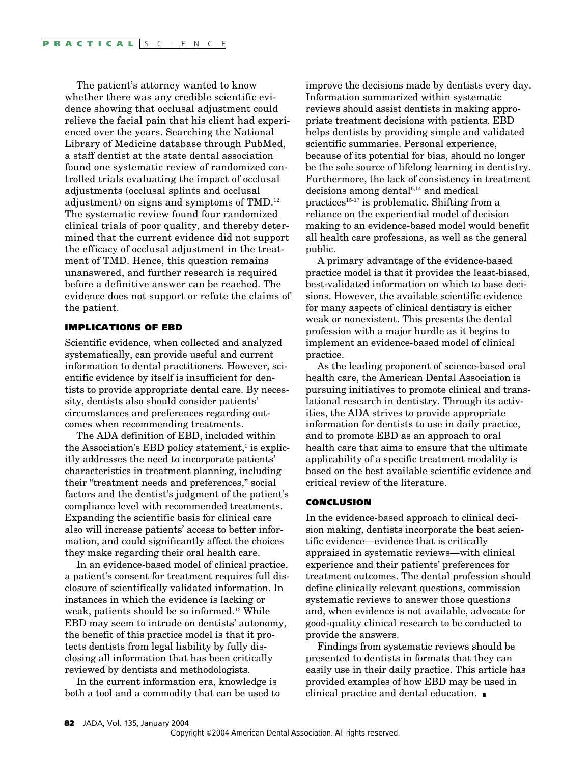The patient's attorney wanted to know whether there was any credible scientific evidence showing that occlusal adjustment could relieve the facial pain that his client had experienced over the years. Searching the National Library of Medicine database through PubMed, a staff dentist at the state dental association found one systematic review of randomized controlled trials evaluating the impact of occlusal adjustments (occlusal splints and occlusal adjustment) on signs and symptoms of TMD.12 The systematic review found four randomized clinical trials of poor quality, and thereby determined that the current evidence did not support the efficacy of occlusal adjustment in the treatment of TMD. Hence, this question remains unanswered, and further research is required before a definitive answer can be reached. The evidence does not support or refute the claims of the patient.

## **IMPLICATIONS OF EBD**

Scientific evidence, when collected and analyzed systematically, can provide useful and current information to dental practitioners. However, scientific evidence by itself is insufficient for dentists to provide appropriate dental care. By necessity, dentists also should consider patients' circumstances and preferences regarding outcomes when recommending treatments.

The ADA definition of EBD, included within the Association's EBD policy statement, $\frac{1}{1}$  is explicitly addresses the need to incorporate patients' characteristics in treatment planning, including their "treatment needs and preferences," social factors and the dentist's judgment of the patient's compliance level with recommended treatments. Expanding the scientific basis for clinical care also will increase patients' access to better information, and could significantly affect the choices they make regarding their oral health care.

In an evidence-based model of clinical practice, a patient's consent for treatment requires full disclosure of scientifically validated information. In instances in which the evidence is lacking or weak, patients should be so informed.13 While EBD may seem to intrude on dentists' autonomy, the benefit of this practice model is that it protects dentists from legal liability by fully disclosing all information that has been critically reviewed by dentists and methodologists.

In the current information era, knowledge is both a tool and a commodity that can be used to improve the decisions made by dentists every day. Information summarized within systematic reviews should assist dentists in making appropriate treatment decisions with patients. EBD helps dentists by providing simple and validated scientific summaries. Personal experience, because of its potential for bias, should no longer be the sole source of lifelong learning in dentistry. Furthermore, the lack of consistency in treatment decisions among dental $6,14$  and medical practices<sup>15-17</sup> is problematic. Shifting from a reliance on the experiential model of decision making to an evidence-based model would benefit all health care professions, as well as the general public.

A primary advantage of the evidence-based practice model is that it provides the least-biased, best-validated information on which to base decisions. However, the available scientific evidence for many aspects of clinical dentistry is either weak or nonexistent. This presents the dental profession with a major hurdle as it begins to implement an evidence-based model of clinical practice.

As the leading proponent of science-based oral health care, the American Dental Association is pursuing initiatives to promote clinical and translational research in dentistry. Through its activities, the ADA strives to provide appropriate information for dentists to use in daily practice, and to promote EBD as an approach to oral health care that aims to ensure that the ultimate applicability of a specific treatment modality is based on the best available scientific evidence and critical review of the literature.

#### **CONCLUSION**

In the evidence-based approach to clinical decision making, dentists incorporate the best scientific evidence—evidence that is critically appraised in systematic reviews—with clinical experience and their patients' preferences for treatment outcomes. The dental profession should define clinically relevant questions, commission systematic reviews to answer those questions and, when evidence is not available, advocate for good-quality clinical research to be conducted to provide the answers.

Findings from systematic reviews should be presented to dentists in formats that they can easily use in their daily practice. This article has provided examples of how EBD may be used in clinical practice and dental education. ■